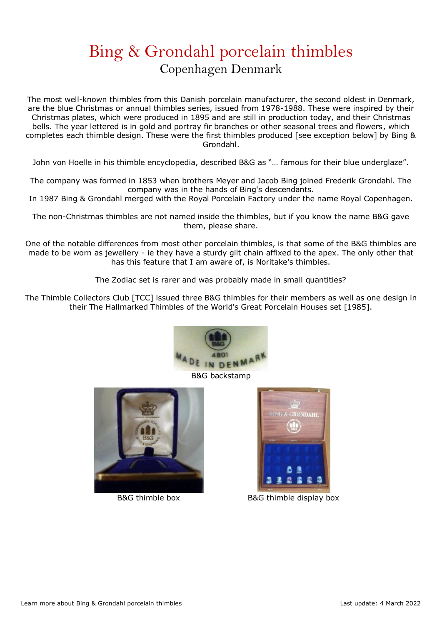## Bing & Grondahl porcelain thimbles Copenhagen Denmark

The most well-known thimbles from this Danish porcelain manufacturer, the second oldest in Denmark, are the blue Christmas or annual thimbles series, issued from 1978-1988. These were inspired by their Christmas plates, which were produced in 1895 and are still in production today, and their Christmas bells. The year lettered is in gold and portray fir branches or other seasonal trees and flowers, which completes each thimble design. These were the first thimbles produced [see exception below] by Bing & Grondahl.

John von Hoelle in his thimble encyclopedia, described B&G as "… famous for their blue underglaze".

The company was formed in 1853 when brothers Meyer and Jacob Bing joined Frederik Grondahl. The company was in the hands of Bing's descendants.

In 1987 Bing & Grondahl merged with the Royal Porcelain Factory under the name Royal Copenhagen.

The non-Christmas thimbles are not named inside the thimbles, but if you know the name B&G gave them, please share.

One of the notable differences from most other porcelain thimbles, is that some of the B&G thimbles are made to be worn as jewellery - ie they have a sturdy gilt chain affixed to the apex. The only other that has this feature that I am aware of, is Noritake's thimbles.

The Zodiac set is rarer and was probably made in small quantities?

The Thimble Collectors Club [TCC] issued three B&G thimbles for their members as well as one design in their The Hallmarked Thimbles of the World's Great Porcelain Houses set [1985].







B&G thimble box B&G thimble display box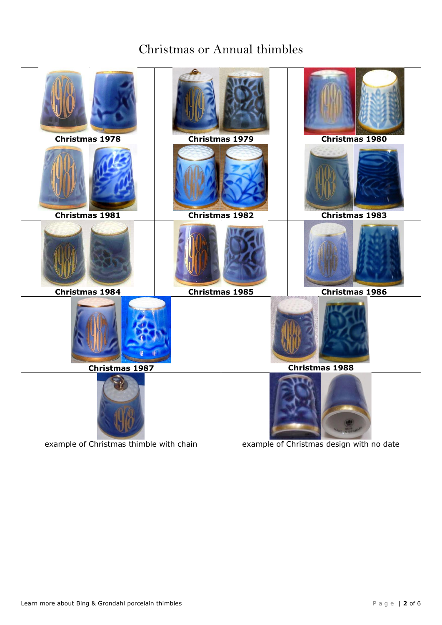### Christmas or Annual thimbles

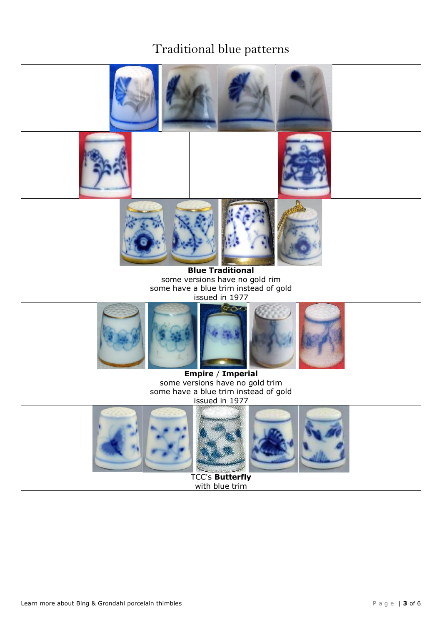### Traditional blue patterns

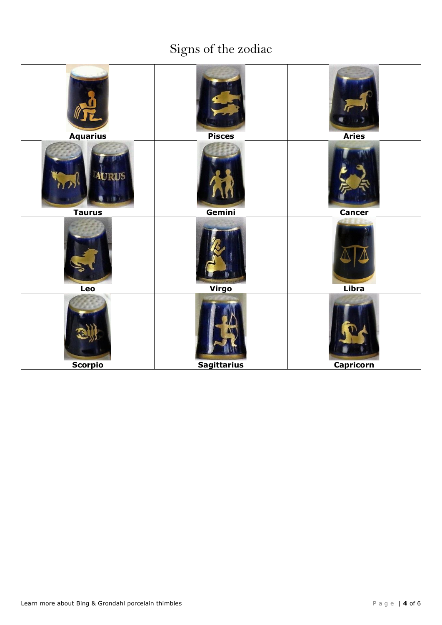# Signs of the zodiac

| <b>Aquarius</b>               | <b>Pisces</b>      | <b>Aries</b>     |
|-------------------------------|--------------------|------------------|
| <b>AURUS</b><br><b>Taurus</b> | Gemini             | <b>Cancer</b>    |
| Leo                           | Virgo              | Libra            |
| <b>Scorpio</b>                | <b>Sagittarius</b> | <b>Capricorn</b> |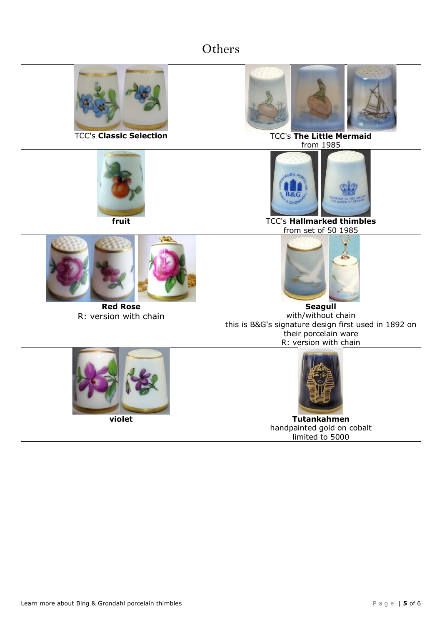## **Others**